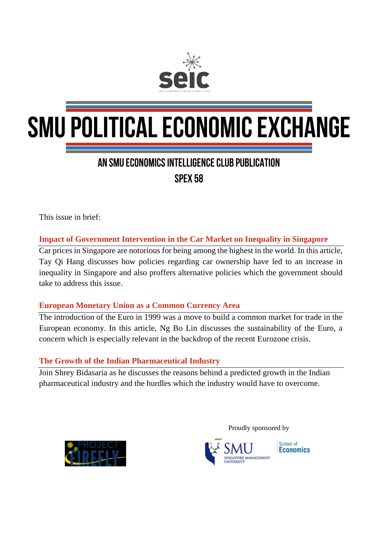

# **SMU POLITICAL ECONOMIC EXCHANGE**

### AN SMU ECONOMICS INTELLIGENCE CLUB PUBLICATION SPFX 58

This issue in brief:

**Impact of Government Intervention in the Car Market on Inequality in Singapore**

Car prices in Singapore are notorious for being among the highest in the world. In this article, Tay Qi Hang discusses how policies regarding car ownership have led to an increase in inequality in Singapore and also proffers alternative policies which the government should take to address this issue.

#### **European Monetary Union as a Common Currency Area**

The introduction of the Euro in 1999 was a move to build a common market for trade in the European economy. In this article, Ng Bo Lin discusses the sustainability of the Euro, a concern which is especially relevant in the backdrop of the recent Eurozone crisis.

#### **The Growth of the Indian Pharmaceutical Industry**

Join Shrey Bidasaria as he discusses the reasons behind a predicted growth in the Indian pharmaceutical industry and the hurdles which the industry would have to overcome.



Proudly sponsored by



School of **Economics**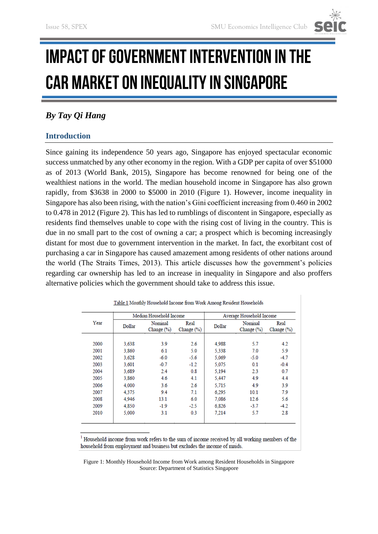## **IMPACT OF GOVERNMENT INTERVENTION IN THE CAR MARKET ON INEQUALITY IN SINGAPORE**

#### *By Tay Qi Hang*

#### **Introduction**

Since gaining its independence 50 years ago, Singapore has enjoyed spectacular economic success unmatched by any other economy in the region. With a GDP per capita of over \$51000 as of 2013 (World Bank, 2015), Singapore has become renowned for being one of the wealthiest nations in the world. The median household income in Singapore has also grown rapidly, from \$3638 in 2000 to \$5000 in 2010 (Figure 1). However, income inequality in Singapore has also been rising, with the nation's Gini coefficient increasing from 0.460 in 2002 to 0.478 in 2012 (Figure 2). This has led to rumblings of discontent in Singapore, especially as residents find themselves unable to cope with the rising cost of living in the country. This is due in no small part to the cost of owning a car; a prospect which is becoming increasingly distant for most due to government intervention in the market. In fact, the exorbitant cost of purchasing a car in Singapore has caused amazement among residents of other nations around the world (The Straits Times, 2013). This article discusses how the government's policies regarding car ownership has led to an increase in inequality in Singapore and also proffers alternative policies which the government should take to address this issue.

| Year | Median Household Income |                       |                        | Average Household Income |                           |                       |
|------|-------------------------|-----------------------|------------------------|--------------------------|---------------------------|-----------------------|
|      | Dollar                  | Nominal<br>Change (%) | Real<br>Change $(\% )$ | Dollar                   | Nominal<br>Change $(\% )$ | Real<br>Change $(\%)$ |
|      |                         |                       |                        |                          |                           |                       |
| 2000 | 3.638                   | 3.9                   | 2.6                    | 4.988                    | 5.7                       | 4.2                   |
| 2001 | 3.860                   | 6.1                   | 5.0                    | 5.338                    | 7.0                       | 5.9                   |
| 2002 | 3.628                   | $-6.0$                | $-5.6$                 | 5,069                    | $-5.0$                    | $-4.7$                |
| 2003 | 3.601                   | $-0.7$                | $-1.2$                 | 5.075                    | 0.1                       | $-0.4$                |
| 2004 | 3.689                   | 2.4                   | 0.8                    | 5.194                    | 2.3                       | 0.7                   |
| 2005 | 3.860                   | 4.6                   | 4.1                    | 5.447                    | 4.9                       | 4.4                   |
| 2006 | 4.000                   | 3.6                   | 2.6                    | 5.715                    | 4.9                       | 3.9                   |
| 2007 | 4.375                   | 9.4                   | 7.1                    | 6.295                    | 10.1                      | 7.9                   |
| 2008 | 4.946                   | 13.1                  | 6.0                    | 7.086                    | 12.6                      | 5.6                   |
| 2009 | 4,850                   | $-1.9$                | $-2.5$                 | 6,826                    | $-3.7$                    | $-4.2$                |
| 2010 | 5,000                   | 3.1                   | 0.3                    | 7.214                    | 5.7                       | 2.8                   |

Table 1 Monthly Household Income from Work Among Resident Households

<sup>1</sup> Household income from work refers to the sum of income received by all working members of the household from employment and business but excludes the income of maids.

Figure 1: Monthly Household Income from Work among Resident Households in Singapore Source: Department of Statistics Singapore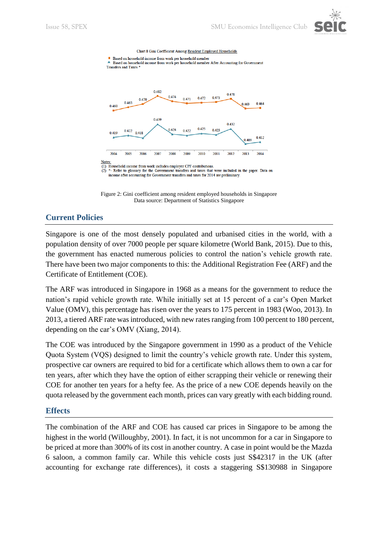

Chart 8 Gini Coefficient Among Resident Employed Households





Figure 2: Gini coefficient among resident employed households in Singapore Data source: Department of Statistics Singapore

#### **Current Policies**

Singapore is one of the most densely populated and urbanised cities in the world, with a population density of over 7000 people per square kilometre (World Bank, 2015). Due to this, the government has enacted numerous policies to control the nation's vehicle growth rate. There have been two major components to this: the Additional Registration Fee (ARF) and the Certificate of Entitlement (COE).

The ARF was introduced in Singapore in 1968 as a means for the government to reduce the nation's rapid vehicle growth rate. While initially set at 15 percent of a car's Open Market Value (OMV), this percentage has risen over the years to 175 percent in 1983 (Woo, 2013). In 2013, a tiered ARF rate was introduced, with new rates ranging from 100 percent to 180 percent, depending on the car's OMV (Xiang, 2014).

The COE was introduced by the Singapore government in 1990 as a product of the Vehicle Quota System (VQS) designed to limit the country's vehicle growth rate. Under this system, prospective car owners are required to bid for a certificate which allows them to own a car for ten years, after which they have the option of either scrapping their vehicle or renewing their COE for another ten years for a hefty fee. As the price of a new COE depends heavily on the quota released by the government each month, prices can vary greatly with each bidding round.

#### **Effects**

The combination of the ARF and COE has caused car prices in Singapore to be among the highest in the world (Willoughby, 2001). In fact, it is not uncommon for a car in Singapore to be priced at more than 300% of its cost in another country. A case in point would be the Mazda 6 saloon, a common family car. While this vehicle costs just S\$42317 in the UK (after accounting for exchange rate differences), it costs a staggering S\$130988 in Singapore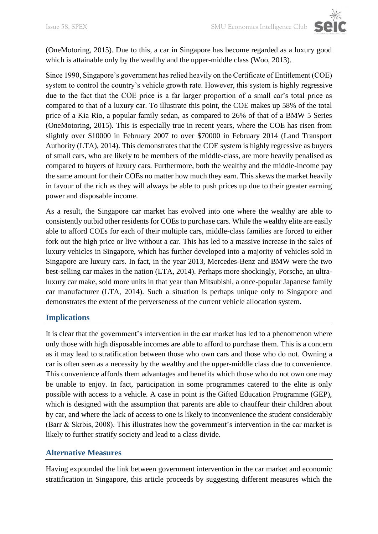(OneMotoring, 2015). Due to this, a car in Singapore has become regarded as a luxury good which is attainable only by the wealthy and the upper-middle class (Woo, 2013).

Since 1990, Singapore's government has relied heavily on the Certificate of Entitlement (COE) system to control the country's vehicle growth rate. However, this system is highly regressive due to the fact that the COE price is a far larger proportion of a small car's total price as compared to that of a luxury car. To illustrate this point, the COE makes up 58% of the total price of a Kia Rio, a popular family sedan, as compared to 26% of that of a BMW 5 Series (OneMotoring, 2015). This is especially true in recent years, where the COE has risen from slightly over \$10000 in February 2007 to over \$70000 in February 2014 (Land Transport Authority (LTA), 2014). This demonstrates that the COE system is highly regressive as buyers of small cars, who are likely to be members of the middle-class, are more heavily penalised as compared to buyers of luxury cars. Furthermore, both the wealthy and the middle-income pay the same amount for their COEs no matter how much they earn. This skews the market heavily in favour of the rich as they will always be able to push prices up due to their greater earning power and disposable income.

As a result, the Singapore car market has evolved into one where the wealthy are able to consistently outbid other residents for COEs to purchase cars. While the wealthy elite are easily able to afford COEs for each of their multiple cars, middle-class families are forced to either fork out the high price or live without a car. This has led to a massive increase in the sales of luxury vehicles in Singapore, which has further developed into a majority of vehicles sold in Singapore are luxury cars. In fact, in the year 2013, Mercedes-Benz and BMW were the two best-selling car makes in the nation (LTA, 2014). Perhaps more shockingly, Porsche, an ultraluxury car make, sold more units in that year than Mitsubishi, a once-popular Japanese family car manufacturer (LTA, 2014). Such a situation is perhaps unique only to Singapore and demonstrates the extent of the perverseness of the current vehicle allocation system.

#### **Implications**

It is clear that the government's intervention in the car market has led to a phenomenon where only those with high disposable incomes are able to afford to purchase them. This is a concern as it may lead to stratification between those who own cars and those who do not. Owning a car is often seen as a necessity by the wealthy and the upper-middle class due to convenience. This convenience affords them advantages and benefits which those who do not own one may be unable to enjoy. In fact, participation in some programmes catered to the elite is only possible with access to a vehicle. A case in point is the Gifted Education Programme (GEP), which is designed with the assumption that parents are able to chauffeur their children about by car, and where the lack of access to one is likely to inconvenience the student considerably (Barr & Skrbis, 2008). This illustrates how the government's intervention in the car market is likely to further stratify society and lead to a class divide.

#### **Alternative Measures**

Having expounded the link between government intervention in the car market and economic stratification in Singapore, this article proceeds by suggesting different measures which the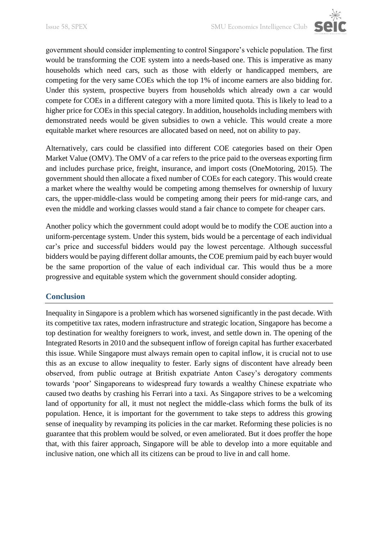

government should consider implementing to control Singapore's vehicle population. The first would be transforming the COE system into a needs-based one. This is imperative as many households which need cars, such as those with elderly or handicapped members, are competing for the very same COEs which the top 1% of income earners are also bidding for. Under this system, prospective buyers from households which already own a car would compete for COEs in a different category with a more limited quota. This is likely to lead to a higher price for COEs in this special category. In addition, households including members with demonstrated needs would be given subsidies to own a vehicle. This would create a more equitable market where resources are allocated based on need, not on ability to pay.

Alternatively, cars could be classified into different COE categories based on their Open Market Value (OMV). The OMV of a car refers to the price paid to the overseas exporting firm and includes purchase price, freight, insurance, and import costs (OneMotoring, 2015). The government should then allocate a fixed number of COEs for each category. This would create a market where the wealthy would be competing among themselves for ownership of luxury cars, the upper-middle-class would be competing among their peers for mid-range cars, and even the middle and working classes would stand a fair chance to compete for cheaper cars.

Another policy which the government could adopt would be to modify the COE auction into a uniform-percentage system. Under this system, bids would be a percentage of each individual car's price and successful bidders would pay the lowest percentage. Although successful bidders would be paying different dollar amounts, the COE premium paid by each buyer would be the same proportion of the value of each individual car. This would thus be a more progressive and equitable system which the government should consider adopting.

#### **Conclusion**

Inequality in Singapore is a problem which has worsened significantly in the past decade. With its competitive tax rates, modern infrastructure and strategic location, Singapore has become a top destination for wealthy foreigners to work, invest, and settle down in. The opening of the Integrated Resorts in 2010 and the subsequent inflow of foreign capital has further exacerbated this issue. While Singapore must always remain open to capital inflow, it is crucial not to use this as an excuse to allow inequality to fester. Early signs of discontent have already been observed, from public outrage at British expatriate Anton Casey's derogatory comments towards 'poor' Singaporeans to widespread fury towards a wealthy Chinese expatriate who caused two deaths by crashing his Ferrari into a taxi. As Singapore strives to be a welcoming land of opportunity for all, it must not neglect the middle-class which forms the bulk of its population. Hence, it is important for the government to take steps to address this growing sense of inequality by revamping its policies in the car market. Reforming these policies is no guarantee that this problem would be solved, or even ameliorated. But it does proffer the hope that, with this fairer approach, Singapore will be able to develop into a more equitable and inclusive nation, one which all its citizens can be proud to live in and call home.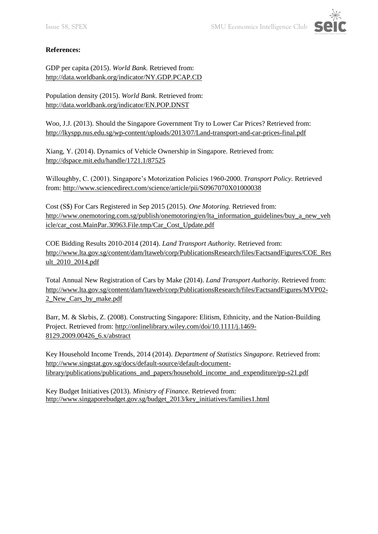

#### **References:**

GDP per capita (2015). *World Bank.* Retrieved from: <http://data.worldbank.org/indicator/NY.GDP.PCAP.CD>

Population density (2015). *World Bank.* Retrieved from: <http://data.worldbank.org/indicator/EN.POP.DNST>

Woo, J.J. (2013). Should the Singapore Government Try to Lower Car Prices? Retrieved from: <http://lkyspp.nus.edu.sg/wp-content/uploads/2013/07/Land-transport-and-car-prices-final.pdf>

Xiang, Y. (2014). Dynamics of Vehicle Ownership in Singapore. Retrieved from: <http://dspace.mit.edu/handle/1721.1/87525>

Willoughby, C. (2001). Singapore's Motorization Policies 1960-2000. *Transport Policy.* Retrieved from:<http://www.sciencedirect.com/science/article/pii/S0967070X01000038>

Cost (S\$) For Cars Registered in Sep 2015 (2015). *One Motoring.* Retrieved from: [http://www.onemotoring.com.sg/publish/onemotoring/en/lta\\_information\\_guidelines/buy\\_a\\_new\\_veh](http://www.onemotoring.com.sg/publish/onemotoring/en/lta_information_guidelines/buy_a_new_vehicle/car_cost.MainPar.30963.File.tmp/Car_Cost_Update.pdf) [icle/car\\_cost.MainPar.30963.File.tmp/Car\\_Cost\\_Update.pdf](http://www.onemotoring.com.sg/publish/onemotoring/en/lta_information_guidelines/buy_a_new_vehicle/car_cost.MainPar.30963.File.tmp/Car_Cost_Update.pdf)

COE Bidding Results 2010-2014 (2014). *Land Transport Authority.* Retrieved from: [http://www.lta.gov.sg/content/dam/ltaweb/corp/PublicationsResearch/files/FactsandFigures/COE\\_Res](http://www.lta.gov.sg/content/dam/ltaweb/corp/PublicationsResearch/files/FactsandFigures/COE_Result_2010_2014.pdf) [ult\\_2010\\_2014.pdf](http://www.lta.gov.sg/content/dam/ltaweb/corp/PublicationsResearch/files/FactsandFigures/COE_Result_2010_2014.pdf)

Total Annual New Registration of Cars by Make (2014). *Land Transport Authority.* Retrieved from: [http://www.lta.gov.sg/content/dam/ltaweb/corp/PublicationsResearch/files/FactsandFigures/MVP02-](http://www.lta.gov.sg/content/dam/ltaweb/corp/PublicationsResearch/files/FactsandFigures/MVP02-2_New_Cars_by_make.pdf) 2 New Cars by make.pdf

Barr, M. & Skrbis, Z. (2008). Constructing Singapore: Elitism, Ethnicity, and the Nation-Building Project*.* Retrieved from: [http://onlinelibrary.wiley.com/doi/10.1111/j.1469-](http://onlinelibrary.wiley.com/doi/10.1111/j.1469-8129.2009.00426_6.x/abstract) [8129.2009.00426\\_6.x/abstract](http://onlinelibrary.wiley.com/doi/10.1111/j.1469-8129.2009.00426_6.x/abstract)

Key Household Income Trends, 2014 (2014). *Department of Statistics Singapore.* Retrieved from: [http://www.singstat.gov.sg/docs/default-source/default-document](http://www.singstat.gov.sg/docs/default-source/default-document-library/publications/publications_and_papers/household_income_and_expenditure/pp-s21.pdf)[library/publications/publications\\_and\\_papers/household\\_income\\_and\\_expenditure/pp-s21.pdf](http://www.singstat.gov.sg/docs/default-source/default-document-library/publications/publications_and_papers/household_income_and_expenditure/pp-s21.pdf)

Key Budget Initiatives (2013). *Ministry of Finance.* Retrieved from: [http://www.singaporebudget.gov.sg/budget\\_2013/key\\_initiatives/families1.html](http://www.singaporebudget.gov.sg/budget_2013/key_initiatives/families1.html)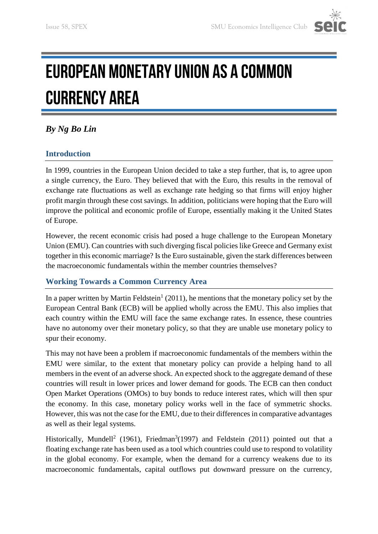

## EUROPEAN MONETARY UNION AS A COMMON **CURRENCY AREA**

#### *By Ng Bo Lin*

#### **Introduction**

In 1999, countries in the European Union decided to take a step further, that is, to agree upon a single currency, the Euro. They believed that with the Euro, this results in the removal of exchange rate fluctuations as well as exchange rate hedging so that firms will enjoy higher profit margin through these cost savings. In addition, politicians were hoping that the Euro will improve the political and economic profile of Europe, essentially making it the United States of Europe.

However, the recent economic crisis had posed a huge challenge to the European Monetary Union (EMU). Can countries with such diverging fiscal policies like Greece and Germany exist together in this economic marriage? Is the Euro sustainable, given the stark differences between the macroeconomic fundamentals within the member countries themselves?

#### **Working Towards a Common Currency Area**

In a paper written by Martin Feldstein<sup>1</sup> (2011), he mentions that the monetary policy set by the European Central Bank (ECB) will be applied wholly across the EMU. This also implies that each country within the EMU will face the same exchange rates. In essence, these countries have no autonomy over their monetary policy, so that they are unable use monetary policy to spur their economy.

This may not have been a problem if macroeconomic fundamentals of the members within the EMU were similar, to the extent that monetary policy can provide a helping hand to all members in the event of an adverse shock. An expected shock to the aggregate demand of these countries will result in lower prices and lower demand for goods. The ECB can then conduct Open Market Operations (OMOs) to buy bonds to reduce interest rates, which will then spur the economy. In this case, monetary policy works well in the face of symmetric shocks. However, this was not the case for the EMU, due to their differences in comparative advantages as well as their legal systems.

Historically, Mundell<sup>2</sup> (1961), Friedman<sup>3</sup>(1997) and Feldstein (2011) pointed out that a floating exchange rate has been used as a tool which countries could use to respond to volatility in the global economy. For example, when the demand for a currency weakens due to its macroeconomic fundamentals, capital outflows put downward pressure on the currency,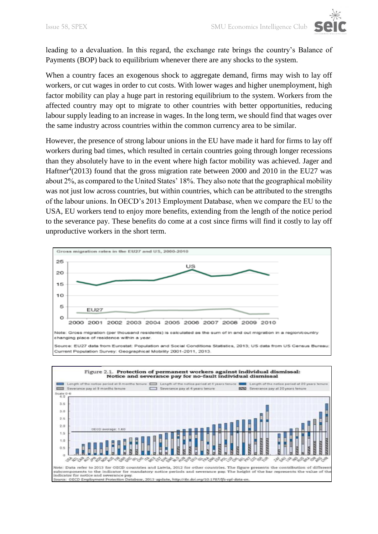leading to a devaluation. In this regard, the exchange rate brings the country's Balance of Payments (BOP) back to equilibrium whenever there are any shocks to the system.

When a country faces an exogenous shock to aggregate demand, firms may wish to lay off workers, or cut wages in order to cut costs. With lower wages and higher unemployment, high factor mobility can play a huge part in restoring equilibrium to the system. Workers from the affected country may opt to migrate to other countries with better opportunities, reducing labour supply leading to an increase in wages. In the long term, we should find that wages over the same industry across countries within the common currency area to be similar.

However, the presence of strong labour unions in the EU have made it hard for firms to lay off workers during bad times, which resulted in certain countries going through longer recessions than they absolutely have to in the event where high factor mobility was achieved. Jager and Haftner<sup>4</sup>(2013) found that the gross migration rate between 2000 and 2010 in the EU27 was about 2%, as compared to the United States' 18%. They also note that the geographical mobility was not just low across countries, but within countries, which can be attributed to the strengths of the labour unions. In OECD's 2013 Employment Database, when we compare the EU to the USA, EU workers tend to enjoy more benefits, extending from the length of the notice period to the severance pay. These benefits do come at a cost since firms will find it costly to lay off unproductive workers in the short term.



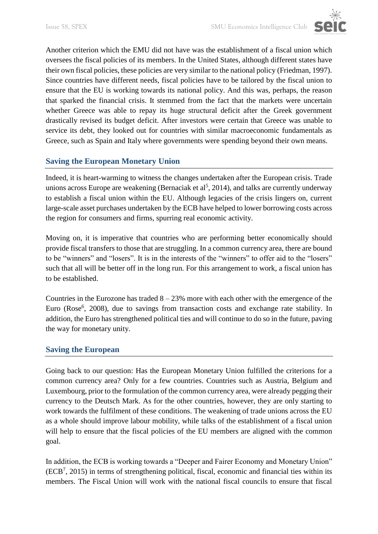

Another criterion which the EMU did not have was the establishment of a fiscal union which oversees the fiscal policies of its members. In the United States, although different states have their own fiscal policies, these policies are very similar to the national policy (Friedman, 1997). Since countries have different needs, fiscal policies have to be tailored by the fiscal union to ensure that the EU is working towards its national policy. And this was, perhaps, the reason that sparked the financial crisis. It stemmed from the fact that the markets were uncertain whether Greece was able to repay its huge structural deficit after the Greek government drastically revised its budget deficit. After investors were certain that Greece was unable to service its debt, they looked out for countries with similar macroeconomic fundamentals as Greece, such as Spain and Italy where governments were spending beyond their own means.

#### **Saving the European Monetary Union**

Indeed, it is heart-warming to witness the changes undertaken after the European crisis. Trade unions across Europe are weakening (Bernaciak et al<sup>5</sup>, 2014), and talks are currently underway to establish a fiscal union within the EU. Although legacies of the crisis lingers on, current large-scale asset purchases undertaken by the ECB have helped to lower borrowing costs across the region for consumers and firms, spurring real economic activity.

Moving on, it is imperative that countries who are performing better economically should provide fiscal transfers to those that are struggling. In a common currency area, there are bound to be "winners" and "losers". It is in the interests of the "winners" to offer aid to the "losers" such that all will be better off in the long run. For this arrangement to work, a fiscal union has to be established.

Countries in the Eurozone has traded  $8 - 23\%$  more with each other with the emergence of the Euro (Rose<sup>6</sup>, 2008), due to savings from transaction costs and exchange rate stability. In addition, the Euro has strengthened political ties and will continue to do so in the future, paving the way for monetary unity.

#### **Saving the European**

Going back to our question: Has the European Monetary Union fulfilled the criterions for a common currency area? Only for a few countries. Countries such as Austria, Belgium and Luxembourg, prior to the formulation of the common currency area, were already pegging their currency to the Deutsch Mark. As for the other countries, however, they are only starting to work towards the fulfilment of these conditions. The weakening of trade unions across the EU as a whole should improve labour mobility, while talks of the establishment of a fiscal union will help to ensure that the fiscal policies of the EU members are aligned with the common goal.

In addition, the ECB is working towards a "Deeper and Fairer Economy and Monetary Union" (ECB<sup>7</sup> , 2015) in terms of strengthening political, fiscal, economic and financial ties within its members. The Fiscal Union will work with the national fiscal councils to ensure that fiscal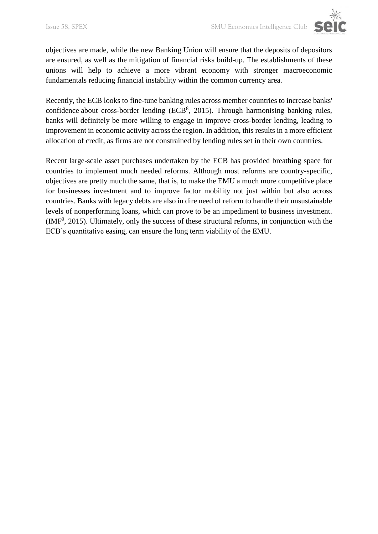

Recently, the ECB looks to fine-tune banking rules across member countries to increase banks' confidence about cross-border lending  $(ECB<sup>8</sup>, 2015)$ . Through harmonising banking rules, banks will definitely be more willing to engage in improve cross-border lending, leading to improvement in economic activity across the region. In addition, this results in a more efficient allocation of credit, as firms are not constrained by lending rules set in their own countries.

Recent large-scale asset purchases undertaken by the ECB has provided breathing space for countries to implement much needed reforms. Although most reforms are country-specific, objectives are pretty much the same, that is, to make the EMU a much more competitive place for businesses investment and to improve factor mobility not just within but also across countries. Banks with legacy debts are also in dire need of reform to handle their unsustainable levels of nonperforming loans, which can prove to be an impediment to business investment. (IMF<sup>9</sup> , 2015). Ultimately, only the success of these structural reforms, in conjunction with the ECB's quantitative easing, can ensure the long term viability of the EMU.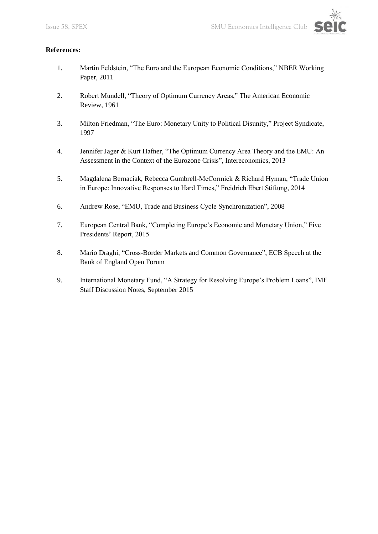

#### **References:**

- 1. Martin Feldstein, "The Euro and the European Economic Conditions," NBER Working Paper, 2011
- 2. Robert Mundell, "Theory of Optimum Currency Areas," The American Economic Review, 1961
- 3. Milton Friedman, "The Euro: Monetary Unity to Political Disunity," Project Syndicate, 1997
- 4. Jennifer Jager & Kurt Hafner, "The Optimum Currency Area Theory and the EMU: An Assessment in the Context of the Eurozone Crisis", Intereconomics, 2013
- 5. Magdalena Bernaciak, Rebecca Gumbrell-McCormick & Richard Hyman, "Trade Union in Europe: Innovative Responses to Hard Times," Freidrich Ebert Stiftung, 2014
- 6. Andrew Rose, "EMU, Trade and Business Cycle Synchronization", 2008
- 7. European Central Bank, "Completing Europe's Economic and Monetary Union," Five Presidents' Report, 2015
- 8. Mario Draghi, "Cross-Border Markets and Common Governance", ECB Speech at the Bank of England Open Forum
- 9. International Monetary Fund, "A Strategy for Resolving Europe's Problem Loans", IMF Staff Discussion Notes, September 2015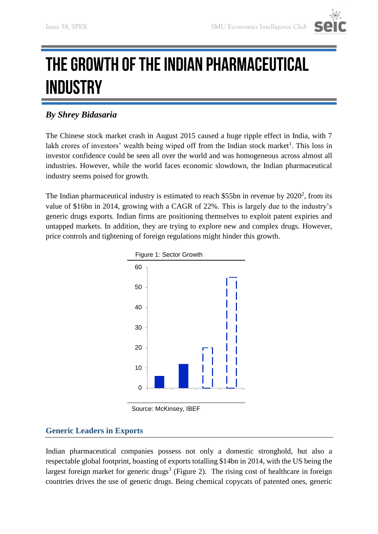

### THE GROWTH OF THE INDIAN PHARMACEUTICAL **INDUSTRY**

#### *By Shrey Bidasaria*

The Chinese stock market crash in August 2015 caused a huge ripple effect in India, with 7 lakh crores of investors' wealth being wiped off from the Indian stock market<sup>1</sup>. This loss in investor confidence could be seen all over the world and was homogeneous across almost all industries. However, while the world faces economic slowdown, the Indian pharmaceutical industry seems poised for growth.

The Indian pharmaceutical industry is estimated to reach \$55bn in revenue by  $2020^2$ , from its value of \$16bn in 2014, growing with a CAGR of 22%. This is largely due to the industry's generic drugs exports. Indian firms are positioning themselves to exploit patent expiries and untapped markets. In addition, they are trying to explore new and complex drugs. However, price controls and tightening of foreign regulations might hinder this growth.



Source: McKinsey, IBEF

#### **Generic Leaders in Exports**

Indian pharmaceutical companies possess not only a domestic stronghold, but also a respectable global footprint, boasting of exports totalling \$14bn in 2014, with the US being the largest foreign market for generic drugs<sup>3</sup> (Figure 2). The rising cost of healthcare in foreign countries drives the use of generic drugs. Being chemical copycats of patented ones, generic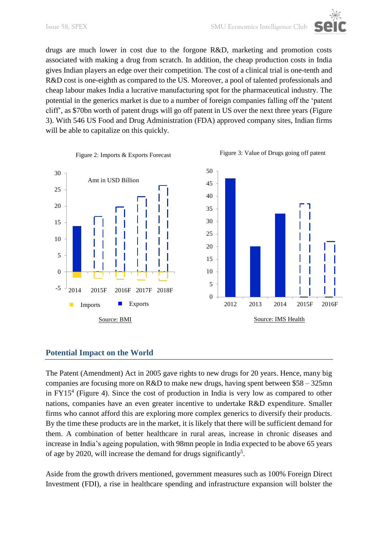drugs are much lower in cost due to the forgone R&D, marketing and promotion costs associated with making a drug from scratch. In addition, the cheap production costs in India gives Indian players an edge over their competition. The cost of a clinical trial is one-tenth and R&D cost is one-eighth as compared to the US. Moreover, a pool of talented professionals and cheap labour makes India a lucrative manufacturing spot for the pharmaceutical industry. The potential in the generics market is due to a number of foreign companies falling off the 'patent cliff', as \$70bn worth of patent drugs will go off patent in US over the next three years (Figure 3). With 546 US Food and Drug Administration (FDA) approved company sites, Indian firms will be able to capitalize on this quickly.



#### **Potential Impact on the World**

The Patent (Amendment) Act in 2005 gave rights to new drugs for 20 years. Hence, many big companies are focusing more on R&D to make new drugs, having spent between \$58 – 325mn in FY15<sup>4</sup> (Figure 4). Since the cost of production in India is very low as compared to other nations, companies have an even greater incentive to undertake R&D expenditure. Smaller firms who cannot afford this are exploring more complex generics to diversify their products. By the time these products are in the market, it is likely that there will be sufficient demand for them. A combination of better healthcare in rural areas, increase in chronic diseases and increase in India's ageing population, with 98mn people in India expected to be above 65 years of age by 2020, will increase the demand for drugs significantly<sup>5</sup>.

Aside from the growth drivers mentioned, government measures such as 100% Foreign Direct Investment (FDI), a rise in healthcare spending and infrastructure expansion will bolster the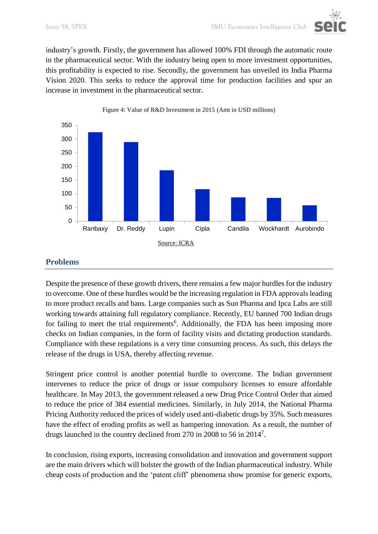industry's growth. Firstly, the government has allowed 100% FDI through the automatic route in the pharmaceutical sector. With the industry being open to more investment opportunities, this profitability is expected to rise. Secondly, the government has unveiled its India Pharma Vision 2020. This seeks to reduce the approval time for production facilities and spur an increase in investment in the pharmaceutical sector.

![](_page_13_Figure_3.jpeg)

Figure 4: Value of R&D Investment in 2015 (Amt in USD millions)

#### **Problems**

Despite the presence of these growth drivers, there remains a few major hurdles for the industry to overcome. One of these hurdles would be the increasing regulation in FDA approvals leading to more product recalls and bans. Large companies such as Sun Pharma and Ipca Labs are still working towards attaining full regulatory compliance. Recently, EU banned 700 Indian drugs for failing to meet the trial requirements<sup>6</sup>. Additionally, the FDA has been imposing more checks on Indian companies, in the form of facility visits and dictating production standards. Compliance with these regulations is a very time consuming process. As such, this delays the release of the drugs in USA, thereby affecting revenue.

Stringent price control is another potential hurdle to overcome. The Indian government intervenes to reduce the price of drugs or issue compulsory licenses to ensure affordable healthcare. In May 2013, the government released a new Drug Price Control Order that aimed to reduce the price of 384 essential medicines. Similarly, in July 2014, the National Pharma Pricing Authority reduced the prices of widely used anti-diabetic drugs by 35%. Such measures have the effect of eroding profits as well as hampering innovation. As a result, the number of drugs launched in the country declined from 270 in 2008 to 56 in 2014<sup>7</sup> .

In conclusion, rising exports, increasing consolidation and innovation and government support are the main drivers which will bolster the growth of the Indian pharmaceutical industry. While cheap costs of production and the 'patent cliff' phenomena show promise for generic exports,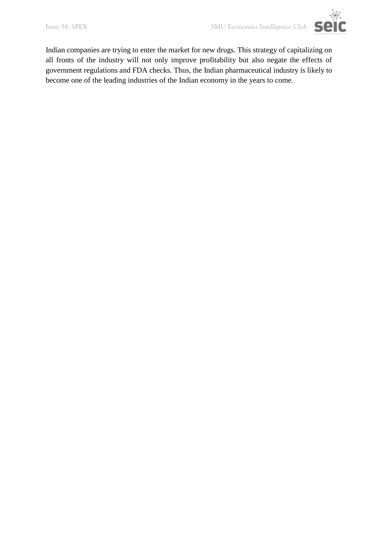![](_page_14_Picture_2.jpeg)

Indian companies are trying to enter the market for new drugs. This strategy of capitalizing on all fronts of the industry will not only improve profitability but also negate the effects of government regulations and FDA checks. Thus, the Indian pharmaceutical industry is likely to become one of the leading industries of the Indian economy in the years to come.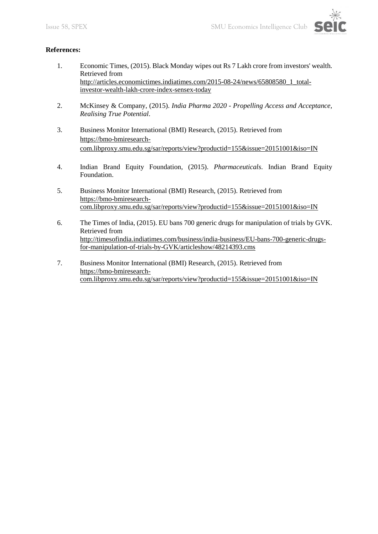![](_page_15_Picture_2.jpeg)

#### **References:**

- 1. Economic Times, (2015). Black Monday wipes out Rs 7 Lakh crore from investors' wealth. Retrieved from [http://articles.economictimes.indiatimes.com/2015-08-24/news/65808580\\_1\\_total](http://articles.economictimes.indiatimes.com/2015-08-24/news/65808580_1_total-investor-wealth-lakh-crore-index-sensex-today)[investor-wealth-lakh-crore-index-sensex-today](http://articles.economictimes.indiatimes.com/2015-08-24/news/65808580_1_total-investor-wealth-lakh-crore-index-sensex-today)
- 2. McKinsey & Company, (2015). *India Pharma 2020 - Propelling Access and Acceptance, Realising True Potential*.
- 3. Business Monitor International (BMI) Research, (2015). Retrieved from [https://bmo-bmiresearch](https://bmo-bmiresearch-com.libproxy.smu.edu.sg/sar/reports/view?productid=155&issue=20151001&iso=IN)[com.libproxy.smu.edu.sg/sar/reports/view?productid=155&issue=20151001&iso=IN](https://bmo-bmiresearch-com.libproxy.smu.edu.sg/sar/reports/view?productid=155&issue=20151001&iso=IN)
- 4. Indian Brand Equity Foundation, (2015). *Pharmaceuticals*. Indian Brand Equity Foundation.
- 5. Business Monitor International (BMI) Research, (2015). Retrieved from [https://bmo-bmiresearch](https://bmo-bmiresearch-com.libproxy.smu.edu.sg/sar/reports/view?productid=155&issue=20151001&iso=IN)[com.libproxy.smu.edu.sg/sar/reports/view?productid=155&issue=20151001&iso=IN](https://bmo-bmiresearch-com.libproxy.smu.edu.sg/sar/reports/view?productid=155&issue=20151001&iso=IN)
- 6. The Times of India, (2015). EU bans 700 generic drugs for manipulation of trials by GVK. Retrieved from [http://timesofindia.indiatimes.com/business/india-business/EU-bans-700-generic-drugs](http://timesofindia.indiatimes.com/business/india-business/EU-bans-700-generic-drugs-for-manipulation-of-trials-by-GVK/articleshow/48214393.cms)[for-manipulation-of-trials-by-GVK/articleshow/48214393.cms](http://timesofindia.indiatimes.com/business/india-business/EU-bans-700-generic-drugs-for-manipulation-of-trials-by-GVK/articleshow/48214393.cms)
- 7. Business Monitor International (BMI) Research, (2015). Retrieved from [https://bmo-bmiresearch](https://bmo-bmiresearch-com.libproxy.smu.edu.sg/sar/reports/view?productid=155&issue=20151001&iso=IN)[com.libproxy.smu.edu.sg/sar/reports/view?productid=155&issue=20151001&iso=IN](https://bmo-bmiresearch-com.libproxy.smu.edu.sg/sar/reports/view?productid=155&issue=20151001&iso=IN)